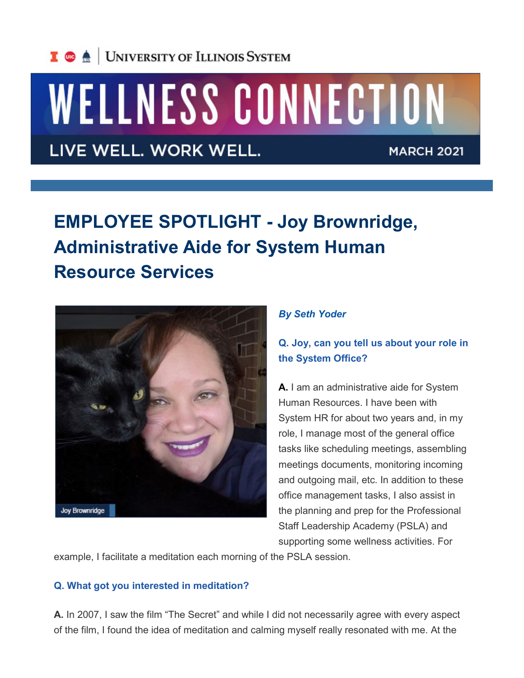# WELLNESS CONNECTION

LIVE WELL. WORK WELL.

**MARCH 2021** 

## **EMPLOYEE SPOTLIGHT - Joy Brownridge, Administrative Aide for System Human Resource Services**



#### *By Seth Yoder*

### **Q. Joy, can you tell us about your role in the System Office?**

**A.** I am an administrative aide for System Human Resources. I have been with System HR for about two years and, in my role, I manage most of the general office tasks like scheduling meetings, assembling meetings documents, monitoring incoming and outgoing mail, etc. In addition to these office management tasks, I also assist in the planning and prep for the Professional Staff Leadership Academy (PSLA) and supporting some wellness activities. For

example, I facilitate a meditation each morning of the PSLA session.

#### **Q. What got you interested in meditation?**

**A.** In 2007, I saw the film "The Secret" and while I did not necessarily agree with every aspect of the film, I found the idea of meditation and calming myself really resonated with me. At the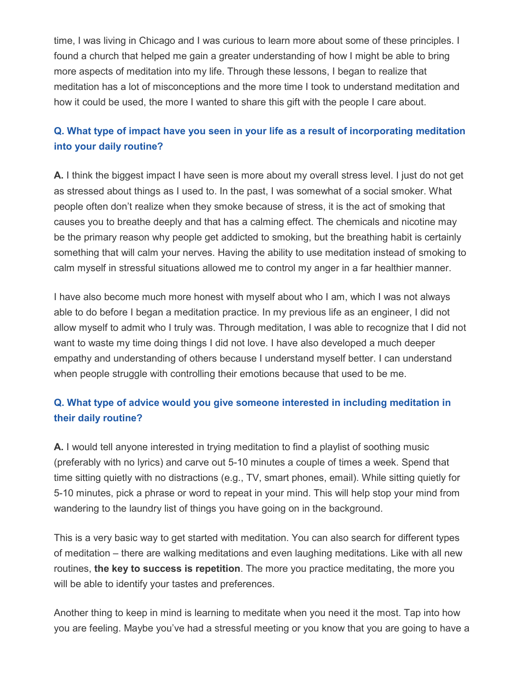time, I was living in Chicago and I was curious to learn more about some of these principles. I found a church that helped me gain a greater understanding of how I might be able to bring more aspects of meditation into my life. Through these lessons, I began to realize that meditation has a lot of misconceptions and the more time I took to understand meditation and how it could be used, the more I wanted to share this gift with the people I care about.

#### **Q. What type of impact have you seen in your life as a result of incorporating meditation into your daily routine?**

**A.** I think the biggest impact I have seen is more about my overall stress level. I just do not get as stressed about things as I used to. In the past, I was somewhat of a social smoker. What people often don't realize when they smoke because of stress, it is the act of smoking that causes you to breathe deeply and that has a calming effect. The chemicals and nicotine may be the primary reason why people get addicted to smoking, but the breathing habit is certainly something that will calm your nerves. Having the ability to use meditation instead of smoking to calm myself in stressful situations allowed me to control my anger in a far healthier manner.

I have also become much more honest with myself about who I am, which I was not always able to do before I began a meditation practice. In my previous life as an engineer, I did not allow myself to admit who I truly was. Through meditation, I was able to recognize that I did not want to waste my time doing things I did not love. I have also developed a much deeper empathy and understanding of others because I understand myself better. I can understand when people struggle with controlling their emotions because that used to be me.

#### **Q. What type of advice would you give someone interested in including meditation in their daily routine?**

**A.** I would tell anyone interested in trying meditation to find a playlist of soothing music (preferably with no lyrics) and carve out 5-10 minutes a couple of times a week. Spend that time sitting quietly with no distractions (e.g., TV, smart phones, email). While sitting quietly for 5-10 minutes, pick a phrase or word to repeat in your mind. This will help stop your mind from wandering to the laundry list of things you have going on in the background.

This is a very basic way to get started with meditation. You can also search for different types of meditation – there are walking meditations and even laughing meditations. Like with all new routines, **the key to success is repetition**. The more you practice meditating, the more you will be able to identify your tastes and preferences.

Another thing to keep in mind is learning to meditate when you need it the most. Tap into how you are feeling. Maybe you've had a stressful meeting or you know that you are going to have a